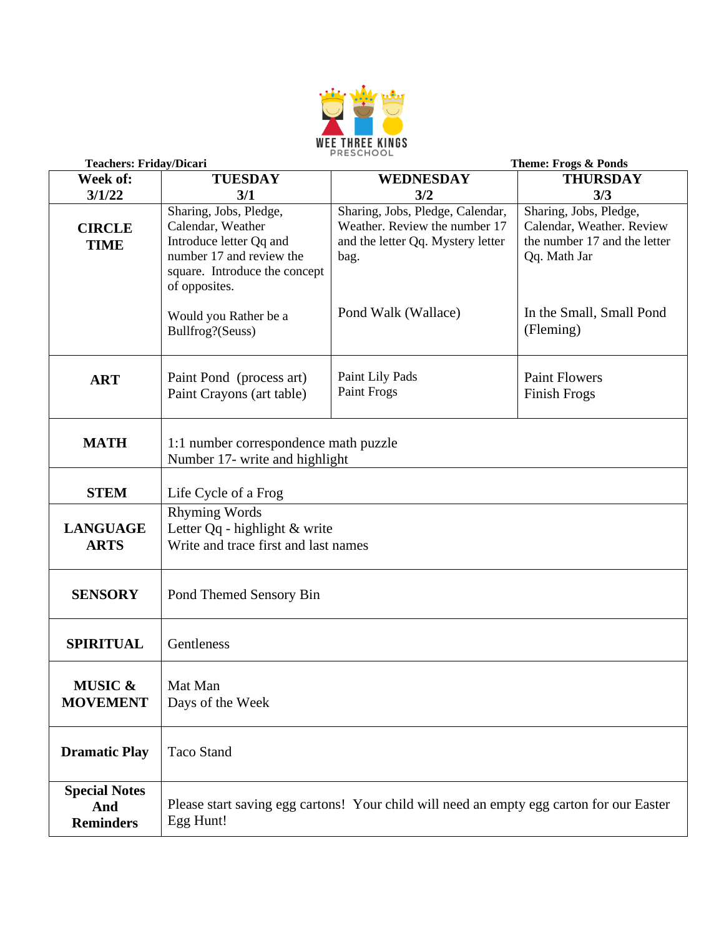

| <b>Teachers: Friday/Dicari</b>                  |                                                                                                                                                      | Theme: Frogs & Ponds                                                                                           |                                                                                                     |
|-------------------------------------------------|------------------------------------------------------------------------------------------------------------------------------------------------------|----------------------------------------------------------------------------------------------------------------|-----------------------------------------------------------------------------------------------------|
| Week of:                                        | <b>TUESDAY</b>                                                                                                                                       | <b>WEDNESDAY</b>                                                                                               | <b>THURSDAY</b>                                                                                     |
| 3/1/22                                          | 3/1                                                                                                                                                  | 3/2                                                                                                            | 3/3                                                                                                 |
| <b>CIRCLE</b><br><b>TIME</b>                    | Sharing, Jobs, Pledge,<br>Calendar, Weather<br>Introduce letter Qq and<br>number 17 and review the<br>square. Introduce the concept<br>of opposites. | Sharing, Jobs, Pledge, Calendar,<br>Weather. Review the number 17<br>and the letter Qq. Mystery letter<br>bag. | Sharing, Jobs, Pledge,<br>Calendar, Weather. Review<br>the number 17 and the letter<br>Qq. Math Jar |
|                                                 | Would you Rather be a<br>Bullfrog?(Seuss)                                                                                                            | Pond Walk (Wallace)                                                                                            | In the Small, Small Pond<br>(Fleming)                                                               |
| <b>ART</b>                                      | Paint Pond (process art)<br>Paint Crayons (art table)                                                                                                | Paint Lily Pads<br><b>Paint Frogs</b>                                                                          | <b>Paint Flowers</b><br><b>Finish Frogs</b>                                                         |
| <b>MATH</b>                                     | 1:1 number correspondence math puzzle<br>Number 17- write and highlight                                                                              |                                                                                                                |                                                                                                     |
| <b>STEM</b>                                     | Life Cycle of a Frog                                                                                                                                 |                                                                                                                |                                                                                                     |
| <b>LANGUAGE</b><br><b>ARTS</b>                  | <b>Rhyming Words</b><br>Letter Qq - highlight & write<br>Write and trace first and last names                                                        |                                                                                                                |                                                                                                     |
| <b>SENSORY</b>                                  | Pond Themed Sensory Bin                                                                                                                              |                                                                                                                |                                                                                                     |
| <b>SPIRITUAL</b>                                | Gentleness                                                                                                                                           |                                                                                                                |                                                                                                     |
| <b>MUSIC &amp;</b><br><b>MOVEMENT</b>           | Mat Man<br>Days of the Week                                                                                                                          |                                                                                                                |                                                                                                     |
| <b>Dramatic Play</b>                            | <b>Taco Stand</b>                                                                                                                                    |                                                                                                                |                                                                                                     |
| <b>Special Notes</b><br>And<br><b>Reminders</b> | Please start saving egg cartons! Your child will need an empty egg carton for our Easter<br>Egg Hunt!                                                |                                                                                                                |                                                                                                     |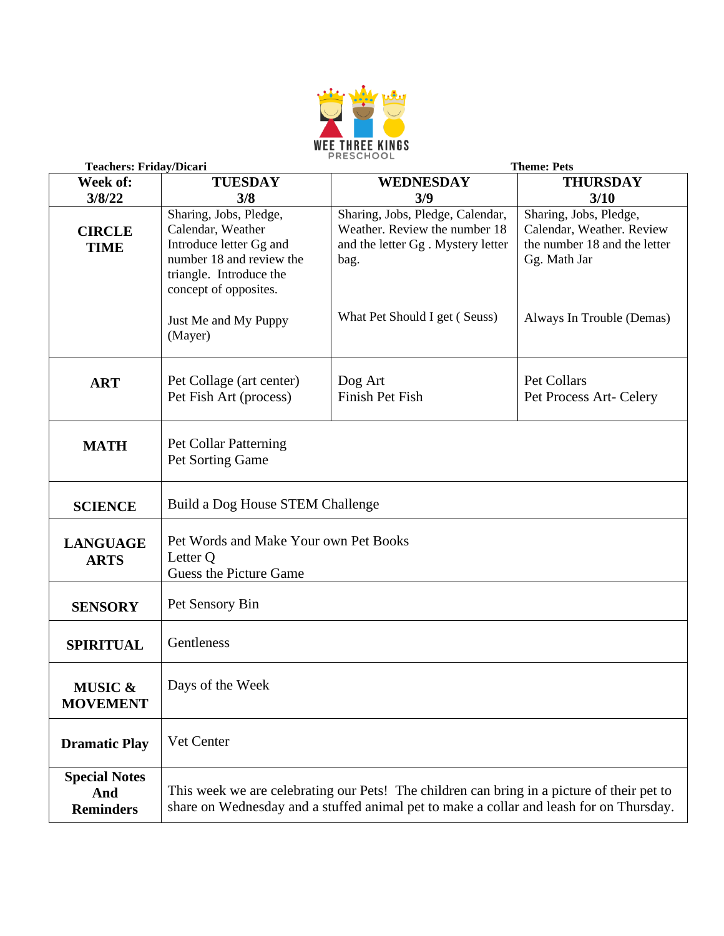

| <b>Teachers: Friday/Dicari</b>                  | <b>Theme: Pets</b>                                                                                                                                                                    |                                                                                                                |                                                                                                     |
|-------------------------------------------------|---------------------------------------------------------------------------------------------------------------------------------------------------------------------------------------|----------------------------------------------------------------------------------------------------------------|-----------------------------------------------------------------------------------------------------|
| Week of:                                        | <b>TUESDAY</b>                                                                                                                                                                        | <b>WEDNESDAY</b>                                                                                               | <b>THURSDAY</b>                                                                                     |
| 3/8/22                                          | 3/8                                                                                                                                                                                   | 3/9                                                                                                            | 3/10                                                                                                |
| <b>CIRCLE</b><br><b>TIME</b>                    | Sharing, Jobs, Pledge,<br>Calendar, Weather<br>Introduce letter Gg and<br>number 18 and review the<br>triangle. Introduce the<br>concept of opposites.                                | Sharing, Jobs, Pledge, Calendar,<br>Weather. Review the number 18<br>and the letter Gg. Mystery letter<br>bag. | Sharing, Jobs, Pledge,<br>Calendar, Weather. Review<br>the number 18 and the letter<br>Gg. Math Jar |
|                                                 | Just Me and My Puppy<br>(Mayer)                                                                                                                                                       | What Pet Should I get (Seuss)                                                                                  | Always In Trouble (Demas)                                                                           |
| <b>ART</b>                                      | Pet Collage (art center)<br>Pet Fish Art (process)                                                                                                                                    | Dog Art<br>Finish Pet Fish                                                                                     | Pet Collars<br>Pet Process Art- Celery                                                              |
| <b>MATH</b>                                     | Pet Collar Patterning<br>Pet Sorting Game                                                                                                                                             |                                                                                                                |                                                                                                     |
| <b>SCIENCE</b>                                  | Build a Dog House STEM Challenge                                                                                                                                                      |                                                                                                                |                                                                                                     |
| <b>LANGUAGE</b><br><b>ARTS</b>                  | Pet Words and Make Your own Pet Books<br>Letter Q<br><b>Guess the Picture Game</b>                                                                                                    |                                                                                                                |                                                                                                     |
| <b>SENSORY</b>                                  | Pet Sensory Bin                                                                                                                                                                       |                                                                                                                |                                                                                                     |
| <b>SPIRITUAL</b>                                | Gentleness                                                                                                                                                                            |                                                                                                                |                                                                                                     |
| <b>MUSIC &amp;</b><br><b>MOVEMENT</b>           | Days of the Week                                                                                                                                                                      |                                                                                                                |                                                                                                     |
| <b>Dramatic Play</b>                            | Vet Center                                                                                                                                                                            |                                                                                                                |                                                                                                     |
| <b>Special Notes</b><br>And<br><b>Reminders</b> | This week we are celebrating our Pets! The children can bring in a picture of their pet to<br>share on Wednesday and a stuffed animal pet to make a collar and leash for on Thursday. |                                                                                                                |                                                                                                     |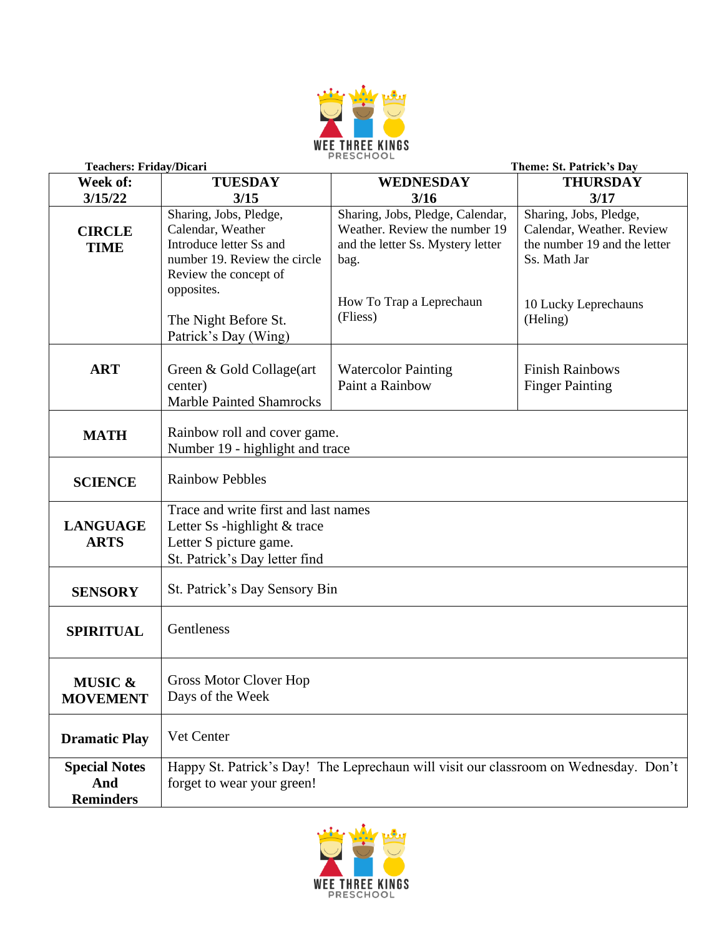

| <b>Teachers: Friday/Dicari</b>                  | Theme: St. Patrick's Day                                                                                                                                                                      |                                                                                                                                                        |                                                                                                                                         |  |
|-------------------------------------------------|-----------------------------------------------------------------------------------------------------------------------------------------------------------------------------------------------|--------------------------------------------------------------------------------------------------------------------------------------------------------|-----------------------------------------------------------------------------------------------------------------------------------------|--|
| Week of:                                        | <b>TUESDAY</b>                                                                                                                                                                                | <b>WEDNESDAY</b>                                                                                                                                       | <b>THURSDAY</b>                                                                                                                         |  |
| 3/15/22                                         | 3/15                                                                                                                                                                                          | 3/16                                                                                                                                                   | 3/17                                                                                                                                    |  |
| <b>CIRCLE</b><br><b>TIME</b>                    | Sharing, Jobs, Pledge,<br>Calendar, Weather<br>Introduce letter Ss and<br>number 19. Review the circle<br>Review the concept of<br>opposites.<br>The Night Before St.<br>Patrick's Day (Wing) | Sharing, Jobs, Pledge, Calendar,<br>Weather. Review the number 19<br>and the letter Ss. Mystery letter<br>bag.<br>How To Trap a Leprechaun<br>(Fliess) | Sharing, Jobs, Pledge,<br>Calendar, Weather. Review<br>the number 19 and the letter<br>Ss. Math Jar<br>10 Lucky Leprechauns<br>(Heling) |  |
| <b>ART</b>                                      | Green & Gold Collage(art<br>center)<br><b>Marble Painted Shamrocks</b>                                                                                                                        | <b>Watercolor Painting</b><br>Paint a Rainbow                                                                                                          | <b>Finish Rainbows</b><br><b>Finger Painting</b>                                                                                        |  |
| <b>MATH</b>                                     | Rainbow roll and cover game.<br>Number 19 - highlight and trace                                                                                                                               |                                                                                                                                                        |                                                                                                                                         |  |
| <b>SCIENCE</b>                                  | <b>Rainbow Pebbles</b>                                                                                                                                                                        |                                                                                                                                                        |                                                                                                                                         |  |
| <b>LANGUAGE</b><br><b>ARTS</b>                  | Trace and write first and last names<br>Letter Ss -highlight & trace<br>Letter S picture game.<br>St. Patrick's Day letter find                                                               |                                                                                                                                                        |                                                                                                                                         |  |
| <b>SENSORY</b>                                  | St. Patrick's Day Sensory Bin                                                                                                                                                                 |                                                                                                                                                        |                                                                                                                                         |  |
| <b>SPIRITUAL</b>                                | Gentleness                                                                                                                                                                                    |                                                                                                                                                        |                                                                                                                                         |  |
| <b>MUSIC &amp;</b><br><b>MOVEMENT</b>           | <b>Gross Motor Clover Hop</b><br>Days of the Week                                                                                                                                             |                                                                                                                                                        |                                                                                                                                         |  |
| <b>Dramatic Play</b>                            | Vet Center                                                                                                                                                                                    |                                                                                                                                                        |                                                                                                                                         |  |
| <b>Special Notes</b><br>And<br><b>Reminders</b> | Happy St. Patrick's Day! The Leprechaun will visit our classroom on Wednesday. Don't<br>forget to wear your green!                                                                            |                                                                                                                                                        |                                                                                                                                         |  |